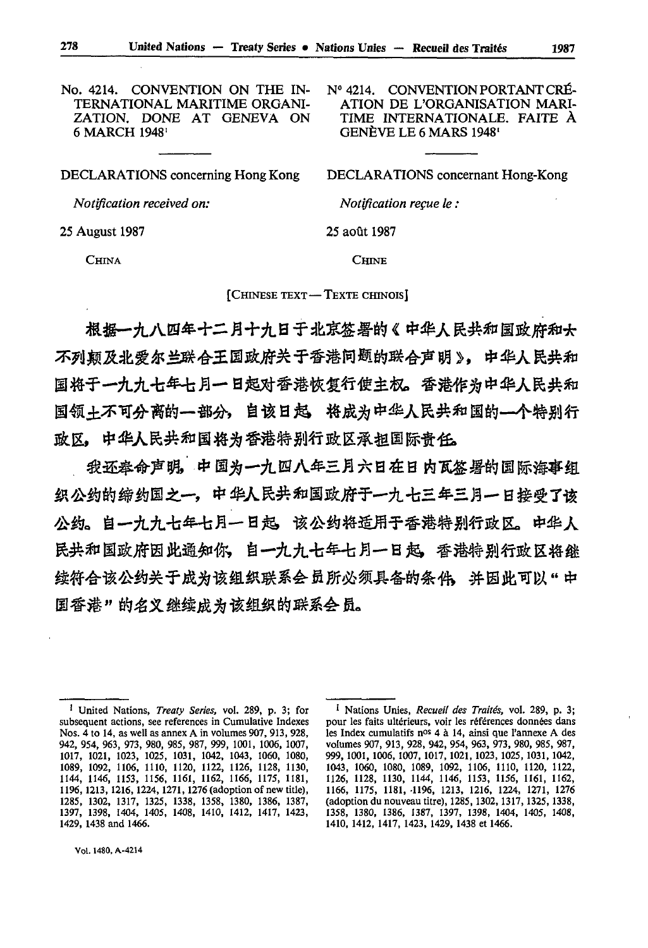No. 4214. CONVENTION ON THE IN- Nº 4214. CONVENTION PORTANT CRÉ-<br>TERNATIONAL MARITIME ORGANI- ATION DE L'ORGANISATION MARI-ZATION. DONE AT GENEVA ON 6 MARCH 1948<sup>1</sup>

TERNATIONAL MARITIME ORGANI- ATION DE L'ORGANISATION MARI-<br>ZATION. DONE AT GENEVA ON TIME INTERNATIONALE. FAITE À GENÈVE LE 6 MARS 1948'

| DECLARATIONS concerning Hong Kong | DECLARATIONS concernant Hong-Kong |
|-----------------------------------|-----------------------------------|
| Notification received on:         | <i>Notification recue le:</i>     |
| 25 August 1987                    | 25 août 1987                      |
| <b>CHINA</b>                      | <b>CHINE</b>                      |

[CHINESE TEXT - TEXTE CHINOIS]

根据一九八四年十二月十九日于北京签署的《中华人民共和国政府和大 不列颠及北爱尔兰联合王国政府关于香港问题的联合声明》,中华人民共和 国将于一九九七年七月一日起对香港恢复行使主权。香港作为中华人民共和 国领+不可分离的一部分,自该日起,将成为中华人民共和国的—个特别行 政区,中华人民共和国将为香港特别行政区承担国际责任。

我还奉命声明,中国为一九四八年三月六日在日内瓦签署的国际海事组 织公约的缔约国之一,中华人民共和国政府于一九七三年三月一日接受了该 公约。自一九九七年七月一日起,该公约将适用于香港特别行政区。中华人 民共和国政府因此通知你, 自一九九七年七月一日起, 香港特别行政区将继 续符合该公约关于成为该组织联系会员所必须具备的条件。 并因此可以"中 国香港"的名义继续成为该组织的联系会员。

<sup>1</sup> United Nations, *Treaty Series,* vol. 289, p. *3;* for subsequent actions, see references in Cumulative Indexes Nos. 4 to 14, as well as annex A in volumes 907, 913, 928, 942, 954, 963, 973, 980, 985, 987, 999, 1001, 1006, 1007, 1017, 1021, 1023, 1025, 1031, 1042, 1043, 1060, 1080, 1089, 1092, 1106, 1110, 1120, 1122, 1126, 1128, 1130, 1144, 1146, 1153, 1156, 1161, 1162, 1166, 1175, 1181, 1196, 1213, 1216,1224,1271,1276 (adoption of new title), 1285, 1302, 1317, 1325, 1338, 1358, 1380, 1386, 1387, 1397, 1398, 1404, 1405, 1408, 1410, 1412, 1417, 1423, 1429, 1438 and 1466.

<sup>1</sup> Nations Unies, *Recueil des Traités,* vol. 289, p. 3; pour les faits ultérieurs, voir les références données dans les Index cumulatifs nos 4 à 14, ainsi que l'annexe A des volumes 907, 913, 928, 942, 954, 963, 973, 980, 985, 987, 999, 1001, 1006, 1007, 1017, 1021, 1023, 1025, 1031, 1042, 1043, 1060, 1080, 1089, 1092, 1106, 1110, 1120, 1122, 1126, 1128, 1130, 1144, 1146, 1153, 1156, 1161, 1162, 1166, 1175, 1181, -1196, 1213, 1216, 1224, 1271, 1276 (adoption du nouveau titre), 1285,1302,1317,1325,1338, 1358, 1380, 1386, 1387, 1397, 1398, 1404, 1405, 1408, 1410, 1412, 1417, 1423, 1429, 1438 et 1466.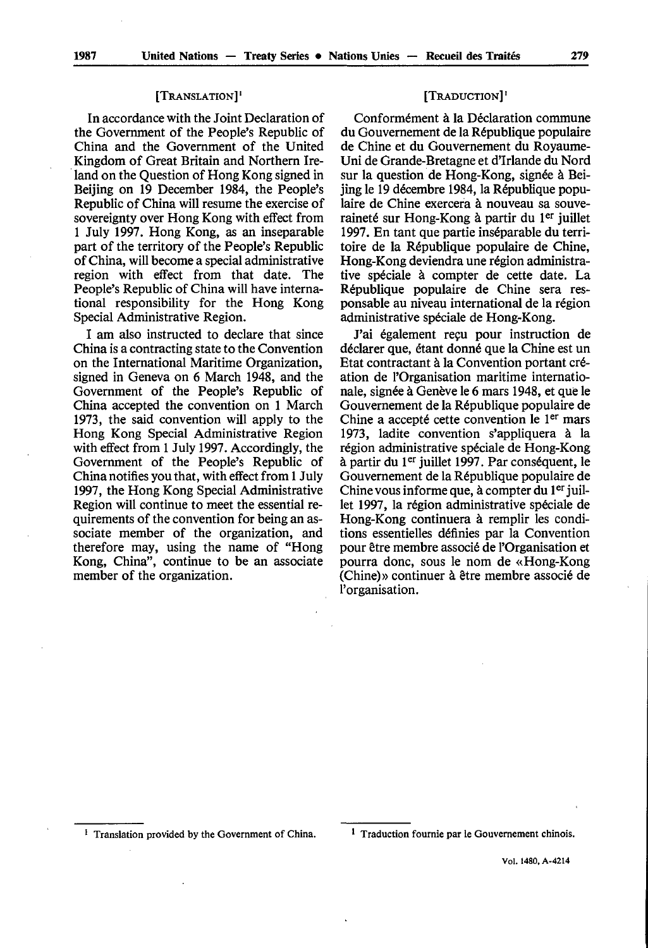## [TRANSLATION] '

In accordance with the Joint Declaration of the Government of the People's Republic of China and the Government of the United Kingdom of Great Britain and Northern Ire land on the Question of Hong Kong signed in Beijing on 19 December 1984, the People's Republic of China will resume the exercise of sovereignty over Hong Kong with effect from 1 July 1997. Hong Kong, as an inseparable part of the territory of the People's Republic of China, will become a special administrative region with effect from that date. The People's Republic of China will have interna tional responsibility for the Hong Kong Special Administrative Region.

I am also instructed to declare that since China is a contracting state to the Convention on the International Maritime Organization, signed in Geneva on 6 March 1948, and the Government of the People's Republic of China accepted the convention on 1 March 1973, the said convention will apply to the Hong Kong Special Administrative Region with effect from 1 July 1997. Accordingly, the Government of the People's Republic of China notifies you that, with effect from 1 July 1997, the Hong Kong Special Administrative Region will continue to meet the essential re quirements of the convention for being an as sociate member of the organization, and therefore may, using the name of "Hong Kong, China", continue to be an associate member of the organization.

## [TRADUCTION]<sup>1</sup>

Conformément à la Déclaration commune du Gouvernement de la République populaire de Chine et du Gouvernement du Royaume-Uni de Grande-Bretagne et d'Irlande du Nord sur la question de Hong-Kong, signée à Bei jing le 19 décembre 1984, la République popu laire de Chine exercera à nouveau sa souve raineté sur Hong-Kong à partir du 1er juillet 1997. En tant que partie inséparable du terri toire de la République populaire de Chine, Hong-Kong deviendra une région administra tive spéciale à compter de cette date. La République populaire de Chine sera res ponsable au niveau international de la région administrative spéciale de Hong-Kong.

J'ai également reçu pour instruction de déclarer que, étant donné que la Chine est un Etat contractant à la Convention portant cré ation de l'Organisation maritime internatio nale, signée à Genève le 6 mars 1948, et que le Gouvernement de la République populaire de Chine a accepté cette convention le 1<sup>er</sup> mars 1973, ladite convention s'appliquera à la région administrative spéciale de Hong-Kong à partir du 1<sup>er</sup> juillet 1997. Par conséquent, le Gouvernement de la République populaire de Chine vous informe que, à compter du  $1<sup>er</sup>$  juillet 1997, la région administrative spéciale de Hong-Kong continuera à remplir les condi tions essentielles définies par la Convention pour être membre associé de l'Organisation et pourra donc, sous le nom de «Hong-Kong (Chine)» continuer à être membre associé de l'organisation.

<sup>&</sup>lt;sup>1</sup> Translation provided by the Government of China.  $1$  Traduction fournie par le Gouvernement chinois.